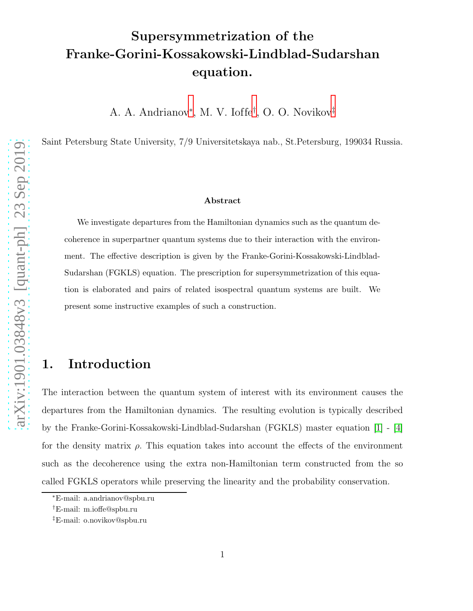# Supersymmetrization of the Franke-Gorini-Kossakowski-Lindblad-Sudarshan equation.

A. A. Andrianov[∗](#page-0-0) , M. V. Ioffe[†](#page-0-1) , O. O. Novikov[‡](#page-0-2)

Saint Petersburg State University, 7/9 Universitetskaya nab., St.Petersburg, 199034 Russia.

#### Abstract

We investigate departures from the Hamiltonian dynamics such as the quantum decoherence in superpartner quantum systems due to their interaction with the environment. The effective description is given by the Franke-Gorini-Kossakowski-Lindblad-Sudarshan (FGKLS) equation. The prescription for supersymmetrization of this equation is elaborated and pairs of related isospectral quantum systems are built. We present some instructive examples of such a construction.

## 1. Introduction

The interaction between the quantum system of interest with its environment causes the departures from the Hamiltonian dynamics. The resulting evolution is typically described by the Franke-Gorini-Kossakowski-Lindblad-Sudarshan (FGKLS) master equation [\[1\]](#page-12-0) - [\[4\]](#page-12-1) for the density matrix  $\rho$ . This equation takes into account the effects of the environment such as the decoherence using the extra non-Hamiltonian term constructed from the so called FGKLS operators while preserving the linearity and the probability conservation.

<sup>∗</sup>E-mail: a.andrianov@spbu.ru

<span id="page-0-0"></span><sup>†</sup>E-mail: m.ioffe@spbu.ru

<span id="page-0-2"></span><span id="page-0-1"></span><sup>‡</sup>E-mail: o.novikov@spbu.ru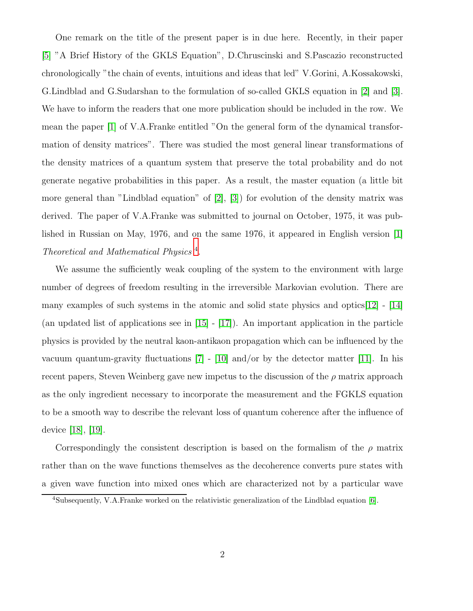One remark on the title of the present paper is in due here. Recently, in their paper [\[5\]](#page-12-2) "A Brief History of the GKLS Equation", D.Chruscinski and S.Pascazio reconstructed chronologically "the chain of events, intuitions and ideas that led" V.Gorini, A.Kossakowski, G.Lindblad and G.Sudarshan to the formulation of so-called GKLS equation in [\[2\]](#page-12-3) and [\[3\]](#page-12-4). We have to inform the readers that one more publication should be included in the row. We mean the paper [\[1\]](#page-12-0) of V.A.Franke entitled "On the general form of the dynamical transformation of density matrices". There was studied the most general linear transformations of the density matrices of a quantum system that preserve the total probability and do not generate negative probabilities in this paper. As a result, the master equation (a little bit more general than "Lindblad equation" of [\[2\]](#page-12-3), [\[3\]](#page-12-4)) for evolution of the density matrix was derived. The paper of V.A.Franke was submitted to journal on October, 1975, it was published in Russian on May, 1976, and on the same 1976, it appeared in English version [\[1\]](#page-12-0) Theoretical and Mathematical Physics [4](#page-1-0) .

We assume the sufficiently weak coupling of the system to the environment with large number of degrees of freedom resulting in the irreversible Markovian evolution. There are many examples of such systems in the atomic and solid state physics and optics $[12]$  -  $[14]$ (an updated list of applications see in [\[15\]](#page-13-2) - [\[17\]](#page-13-3)). An important application in the particle physics is provided by the neutral kaon-antikaon propagation which can be influenced by the vacuum quantum-gravity fluctuations  $[7]$  -  $[10]$  and/or by the detector matter [\[11\]](#page-13-5). In his recent papers, Steven Weinberg gave new impetus to the discussion of the  $\rho$  matrix approach as the only ingredient necessary to incorporate the measurement and the FGKLS equation to be a smooth way to describe the relevant loss of quantum coherence after the influence of device [\[18\]](#page-13-6), [\[19\]](#page-13-7).

Correspondingly the consistent description is based on the formalism of the  $\rho$  matrix rather than on the wave functions themselves as the decoherence converts pure states with a given wave function into mixed ones which are characterized not by a particular wave

<span id="page-1-0"></span><sup>4</sup>Subsequently, V.A.Franke worked on the relativistic generalization of the Lindblad equation [\[6\]](#page-12-6).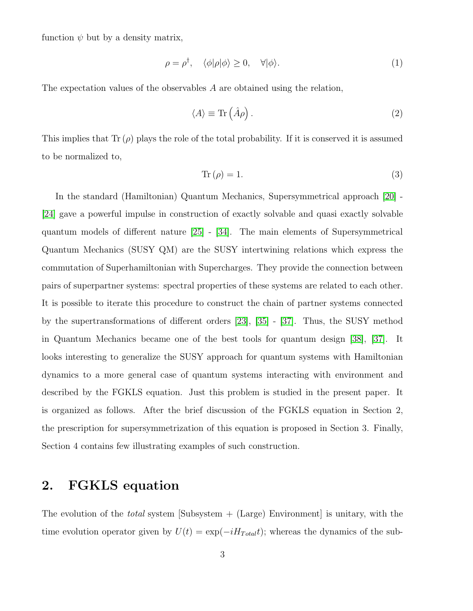function  $\psi$  but by a density matrix,

$$
\rho = \rho^{\dagger}, \quad \langle \phi | \rho | \phi \rangle \ge 0, \quad \forall | \phi \rangle. \tag{1}
$$

The expectation values of the observables A are obtained using the relation,

$$
\langle A \rangle \equiv \text{Tr} \left( \hat{A} \rho \right). \tag{2}
$$

This implies that  $\text{Tr}(\rho)$  plays the role of the total probability. If it is conserved it is assumed to be normalized to,

<span id="page-2-0"></span>
$$
Tr(\rho) = 1.
$$
\n(3)

In the standard (Hamiltonian) Quantum Mechanics, Supersymmetrical approach [\[20\]](#page-13-8) - [\[24\]](#page-13-9) gave a powerful impulse in construction of exactly solvable and quasi exactly solvable quantum models of different nature [\[25\]](#page-13-10) - [\[34\]](#page-14-0). The main elements of Supersymmetrical Quantum Mechanics (SUSY QM) are the SUSY intertwining relations which express the commutation of Superhamiltonian with Supercharges. They provide the connection between pairs of superpartner systems: spectral properties of these systems are related to each other. It is possible to iterate this procedure to construct the chain of partner systems connected by the supertransformations of different orders [\[23\]](#page-13-11), [\[35\]](#page-14-1) - [\[37\]](#page-14-2). Thus, the SUSY method in Quantum Mechanics became one of the best tools for quantum design [\[38\]](#page-14-3), [\[37\]](#page-14-2). It looks interesting to generalize the SUSY approach for quantum systems with Hamiltonian dynamics to a more general case of quantum systems interacting with environment and described by the FGKLS equation. Just this problem is studied in the present paper. It is organized as follows. After the brief discussion of the FGKLS equation in Section 2, the prescription for supersymmetrization of this equation is proposed in Section 3. Finally, Section 4 contains few illustrating examples of such construction.

## 2. FGKLS equation

The evolution of the *total* system  $\sum_{n=1}^{\infty}$  [Subsystem + (Large) Environment] is unitary, with the time evolution operator given by  $U(t) = \exp(-iH_{Total}t)$ ; whereas the dynamics of the sub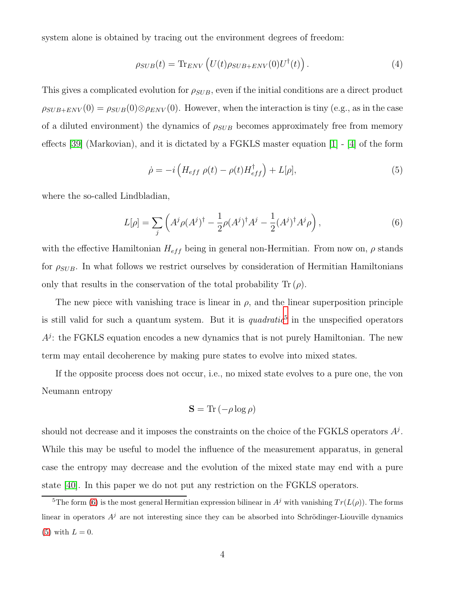system alone is obtained by tracing out the environment degrees of freedom:

$$
\rho_{SUB}(t) = \text{Tr}_{ENV}\left(U(t)\rho_{SUB+ENV}(0)U^{\dagger}(t)\right). \tag{4}
$$

This gives a complicated evolution for  $\rho_{SUB}$ , even if the initial conditions are a direct product  $\rho_{SUB+ENV}(0) = \rho_{SUB}(0) \otimes \rho_{ENV}(0)$ . However, when the interaction is tiny (e.g., as in the case of a diluted environment) the dynamics of  $\rho_{SUB}$  becomes approximately free from memory effects [\[39\]](#page-14-4) (Markovian), and it is dictated by a FGKLS master equation [\[1\]](#page-12-0) - [\[4\]](#page-12-1) of the form

<span id="page-3-2"></span>
$$
\dot{\rho} = -i \left( H_{eff} \rho(t) - \rho(t) H_{eff}^{\dagger} \right) + L[\rho], \tag{5}
$$

where the so-called Lindbladian,

<span id="page-3-1"></span>
$$
L[\rho] = \sum_{j} \left( A^j \rho(A^j)^{\dagger} - \frac{1}{2} \rho(A^j)^{\dagger} A^j - \frac{1}{2} (A^j)^{\dagger} A^j \rho \right),\tag{6}
$$

with the effective Hamiltonian  $H_{eff}$  being in general non-Hermitian. From now on,  $\rho$  stands for  $\rho_{SUB}$ . In what follows we restrict ourselves by consideration of Hermitian Hamiltonians only that results in the conservation of the total probability  $\text{Tr}(\rho)$ .

The new piece with vanishing trace is linear in  $\rho$ , and the linear superposition principle is still valid for such a quantum system. But it is  $quadratic<sup>5</sup>$  $quadratic<sup>5</sup>$  $quadratic<sup>5</sup>$  in the unspecified operators  $A<sup>j</sup>$ : the FGKLS equation encodes a new dynamics that is not purely Hamiltonian. The new term may entail decoherence by making pure states to evolve into mixed states.

If the opposite process does not occur, i.e., no mixed state evolves to a pure one, the von Neumann entropy

$$
\mathbf{S} = \text{Tr} \left( -\rho \log \rho \right)
$$

should not decrease and it imposes the constraints on the choice of the FGKLS operators  $A<sup>j</sup>$ . While this may be useful to model the influence of the measurement apparatus, in general case the entropy may decrease and the evolution of the mixed state may end with a pure state [\[40\]](#page-14-5). In this paper we do not put any restriction on the FGKLS operators.

<span id="page-3-0"></span><sup>&</sup>lt;sup>5</sup>The form [\(6\)](#page-3-1) is the most general Hermitian expression bilinear in  $A^j$  with vanishing  $Tr(L(\rho))$ . The forms linear in operators  $A<sup>j</sup>$  are not interesting since they can be absorbed into Schrödinger-Liouville dynamics  $(5)$  with  $L = 0$ .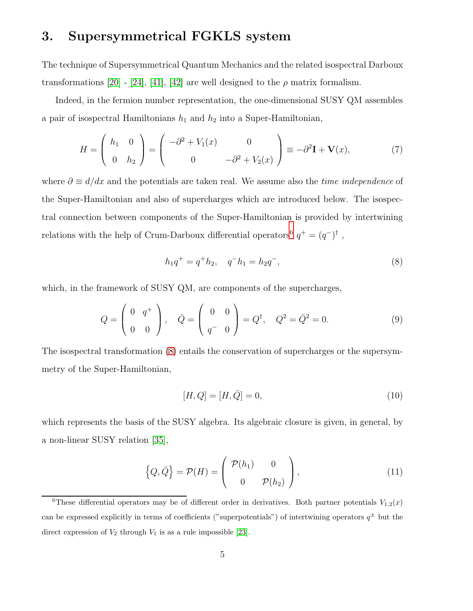## 3. Supersymmetrical FGKLS system

The technique of Supersymmetrical Quantum Mechanics and the related isospectral Darboux transformations [\[20\]](#page-13-8) - [\[24\]](#page-13-9), [\[41\]](#page-14-6), [\[42\]](#page-14-7) are well designed to the  $\rho$  matrix formalism.

Indeed, in the fermion number representation, the one-dimensional SUSY QM assembles a pair of isospectral Hamiltonians  $h_1$  and  $h_2$  into a Super-Hamiltonian,

$$
H = \begin{pmatrix} h_1 & 0 \\ 0 & h_2 \end{pmatrix} = \begin{pmatrix} -\partial^2 + V_1(x) & 0 \\ 0 & -\partial^2 + V_2(x) \end{pmatrix} \equiv -\partial^2 \mathbf{I} + \mathbf{V}(x), \tag{7}
$$

where  $\partial \equiv d/dx$  and the potentials are taken real. We assume also the *time independence* of the Super-Hamiltonian and also of supercharges which are introduced below. The isospectral connection between components of the Super-Hamiltonian is provided by intertwining relations with the help of Crum-Darboux differential operators<sup>[6](#page-4-0)</sup>  $q^+ = (q^-)^{\dagger}$ ,

<span id="page-4-1"></span>
$$
h_1 q^+ = q^+ h_2, \quad q^- h_1 = h_2 q^-, \tag{8}
$$

which, in the framework of SUSY QM, are components of the supercharges,

$$
Q = \begin{pmatrix} 0 & q^+ \\ 0 & 0 \end{pmatrix}, \quad \bar{Q} = \begin{pmatrix} 0 & 0 \\ q^- & 0 \end{pmatrix} = Q^{\dagger}, \quad Q^2 = \bar{Q}^2 = 0. \tag{9}
$$

The isospectral transformation [\(8\)](#page-4-1) entails the conservation of supercharges or the supersymmetry of the Super-Hamiltonian,

$$
[H, Q] = [H, \bar{Q}] = 0,\t(10)
$$

which represents the basis of the SUSY algebra. Its algebraic closure is given, in general, by a non-linear SUSY relation [\[35\]](#page-14-1),

<span id="page-4-2"></span>
$$
\left\{Q,\bar{Q}\right\} = \mathcal{P}(H) = \begin{pmatrix} \mathcal{P}(h_1) & 0 \\ 0 & \mathcal{P}(h_2) \end{pmatrix},\tag{11}
$$

<span id="page-4-0"></span><sup>&</sup>lt;sup>6</sup>These differential operators may be of different order in derivatives. Both partner potentials  $V_{1,2}(x)$ can be expressed explicitly in terms of coefficients ("superpotentials") of intertwining operators  $q^{\pm}$  but the direct expression of  $V_2$  through  $V_1$  is as a rule impossible [\[23\]](#page-13-11).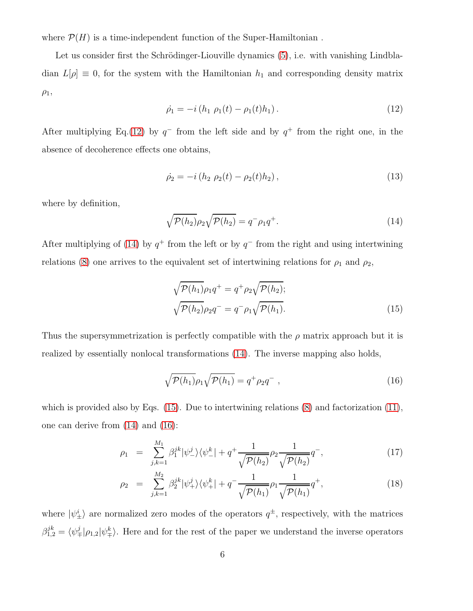where  $\mathcal{P}(H)$  is a time-independent function of the Super-Hamiltonian.

Let us consider first the Schrödinger-Liouville dynamics  $(5)$ , i.e. with vanishing Lindbladian  $L[\rho] \equiv 0$ , for the system with the Hamiltonian  $h_1$  and corresponding density matrix  $\rho_1$ ,

<span id="page-5-0"></span>
$$
\dot{\rho}_1 = -i(h_1 \rho_1(t) - \rho_1(t)h_1). \tag{12}
$$

After multiplying Eq.[\(12\)](#page-5-0) by  $q^-$  from the left side and by  $q^+$  from the right one, in the absence of decoherence effects one obtains,

$$
\dot{\rho}_2 = -i(h_2 \rho_2(t) - \rho_2(t)h_2), \qquad (13)
$$

where by definition,

<span id="page-5-1"></span>
$$
\sqrt{\mathcal{P}(h_2)}\rho_2\sqrt{\mathcal{P}(h_2)} = q^- \rho_1 q^+.
$$
\n(14)

After multiplying of [\(14\)](#page-5-1) by  $q^+$  from the left or by  $q^-$  from the right and using intertwining relations [\(8\)](#page-4-1) one arrives to the equivalent set of intertwining relations for  $\rho_1$  and  $\rho_2$ ,

<span id="page-5-2"></span>
$$
\sqrt{\mathcal{P}(h_1)}\rho_1 q^+ = q^+ \rho_2 \sqrt{\mathcal{P}(h_2)};
$$
  

$$
\sqrt{\mathcal{P}(h_2)}\rho_2 q^- = q^- \rho_1 \sqrt{\mathcal{P}(h_1)}.
$$
 (15)

Thus the supersymmetrization is perfectly compatible with the  $\rho$  matrix approach but it is realized by essentially nonlocal transformations [\(14\)](#page-5-1). The inverse mapping also holds,

<span id="page-5-3"></span>
$$
\sqrt{\mathcal{P}(h_1)}\rho_1\sqrt{\mathcal{P}(h_1)} = q^+\rho_2q^-, \qquad (16)
$$

which is provided also by Eqs. [\(15\)](#page-5-2). Due to intertwining relations [\(8\)](#page-4-1) and factorization [\(11\)](#page-4-2), one can derive from [\(14\)](#page-5-1) and [\(16\)](#page-5-3):

<span id="page-5-4"></span>
$$
\rho_1 = \sum_{j,k=1}^{M_1} \beta_1^{jk} |\psi_-^j\rangle\langle\psi_-^k| + q^+ \frac{1}{\sqrt{\mathcal{P}(h_2)}} \rho_2 \frac{1}{\sqrt{\mathcal{P}(h_2)}} q^-, \qquad (17)
$$

$$
\rho_2 = \sum_{j,k=1}^{M_2} \beta_2^{jk} |\psi_+^j\rangle \langle \psi_+^k| + q^- \frac{1}{\sqrt{\mathcal{P}(h_1)}} \rho_1 \frac{1}{\sqrt{\mathcal{P}(h_1)}} q^+, \qquad (18)
$$

where  $|\psi^i_{\pm}\rangle$  are normalized zero modes of the operators  $q^{\pm}$ , respectively, with the matrices  $\beta_{1,2}^{jk} = \langle \psi^j_{\mp} | \rho_{1,2} | \psi^k_{\mp} \rangle$ . Here and for the rest of the paper we understand the inverse operators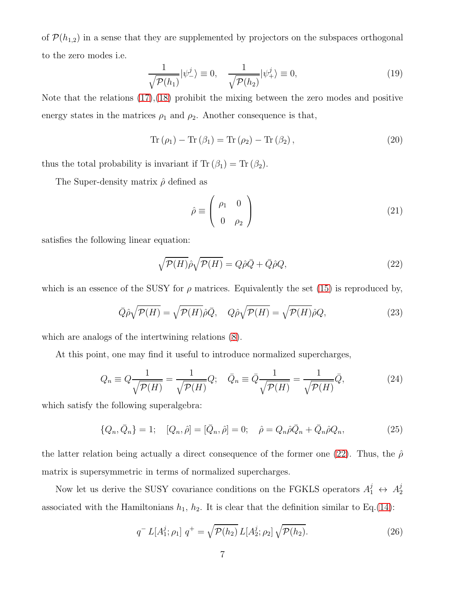of  $\mathcal{P}(h_{1,2})$  in a sense that they are supplemented by projectors on the subspaces orthogonal to the zero modes i.e.

$$
\frac{1}{\sqrt{\mathcal{P}(h_1)}}|\psi^j_{-}\rangle \equiv 0, \quad \frac{1}{\sqrt{\mathcal{P}(h_2)}}|\psi^j_{+}\rangle \equiv 0,
$$
\n(19)

Note that the relations  $(17)$ , $(18)$  prohibit the mixing between the zero modes and positive energy states in the matrices  $\rho_1$  and  $\rho_2$ . Another consequence is that,

$$
\operatorname{Tr} (\rho_1) - \operatorname{Tr} (\beta_1) = \operatorname{Tr} (\rho_2) - \operatorname{Tr} (\beta_2), \qquad (20)
$$

thus the total probability is invariant if  $Tr (\beta_1) = Tr (\beta_2)$ .

The Super-density matrix  $\hat{\rho}$  defined as

$$
\hat{\rho} \equiv \left( \begin{array}{cc} \rho_1 & 0 \\ 0 & \rho_2 \end{array} \right) \tag{21}
$$

satisfies the following linear equation:

<span id="page-6-0"></span>
$$
\sqrt{\mathcal{P}(H)}\hat{\rho}\sqrt{\mathcal{P}(H)} = Q\hat{\rho}\bar{Q} + \bar{Q}\hat{\rho}Q,\tag{22}
$$

which is an essence of the SUSY for  $\rho$  matrices. Equivalently the set [\(15\)](#page-5-2) is reproduced by,

$$
\overline{Q}\hat{\rho}\sqrt{\mathcal{P}(H)} = \sqrt{\mathcal{P}(H)}\hat{\rho}\overline{Q}, \quad Q\hat{\rho}\sqrt{\mathcal{P}(H)} = \sqrt{\mathcal{P}(H)}\hat{\rho}Q,\tag{23}
$$

which are analogs of the intertwining relations [\(8\)](#page-4-1).

At this point, one may find it useful to introduce normalized supercharges,

<span id="page-6-1"></span>
$$
Q_n \equiv Q \frac{1}{\sqrt{\mathcal{P}(H)}} = \frac{1}{\sqrt{\mathcal{P}(H)}} Q; \quad \bar{Q}_n \equiv \bar{Q} \frac{1}{\sqrt{\mathcal{P}(H)}} = \frac{1}{\sqrt{\mathcal{P}(H)}} \bar{Q}, \tag{24}
$$

which satisfy the following superalgebra:

<span id="page-6-2"></span>
$$
\{Q_n, \bar{Q}_n\} = 1; \quad [Q_n, \hat{\rho}] = [\bar{Q}_n, \hat{\rho}] = 0; \quad \hat{\rho} = Q_n \hat{\rho} \bar{Q}_n + \bar{Q}_n \hat{\rho} Q_n, \tag{25}
$$

the latter relation being actually a direct consequence of the former one [\(22\)](#page-6-0). Thus, the  $\hat{\rho}$ matrix is supersymmetric in terms of normalized supercharges.

Now let us derive the SUSY covariance conditions on the FGKLS operators  $A_1^j \leftrightarrow A_2^j$ associated with the Hamiltonians  $h_1$ ,  $h_2$ . It is clear that the definition similar to Eq.[\(14\)](#page-5-1):

$$
q^{-} L[A_1^j; \rho_1] \ q^{+} = \sqrt{\mathcal{P}(h_2)} L[A_2^j; \rho_2] \ \sqrt{\mathcal{P}(h_2)}.
$$
 (26)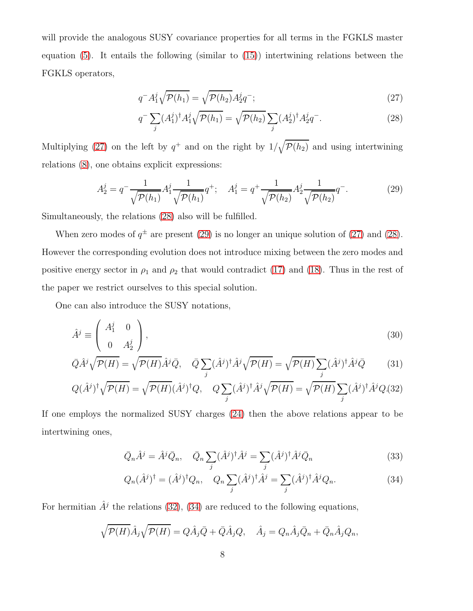will provide the analogous SUSY covariance properties for all terms in the FGKLS master equation  $(5)$ . It entails the following (similar to  $(15)$ ) intertwining relations between the FGKLS operators,

<span id="page-7-0"></span>
$$
q^-A_1^j\sqrt{\mathcal{P}(h_1)} = \sqrt{\mathcal{P}(h_2)}A_2^j q^-;
$$
\n(27)

$$
q^{-} \sum_{j} (A_1^j)^{\dagger} A_1^j \sqrt{\mathcal{P}(h_1)} = \sqrt{\mathcal{P}(h_2)} \sum_{j} (A_2^j)^{\dagger} A_2^j q^{-}.
$$
 (28)

Multiplying [\(27\)](#page-7-0) on the left by  $q^+$  and on the right by  $1/\sqrt{\mathcal{P}(h_2)}$  and using intertwining relations [\(8\)](#page-4-1), one obtains explicit expressions:

<span id="page-7-1"></span>
$$
A_2^j = q^{-} \frac{1}{\sqrt{\mathcal{P}(h_1)}} A_1^j \frac{1}{\sqrt{\mathcal{P}(h_1)}} q^{+}; \quad A_1^j = q^{+} \frac{1}{\sqrt{\mathcal{P}(h_2)}} A_2^j \frac{1}{\sqrt{\mathcal{P}(h_2)}} q^{-}.
$$
 (29)

Simultaneously, the relations [\(28\)](#page-7-0) also will be fulfilled.

When zero modes of  $q^{\pm}$  are present [\(29\)](#page-7-1) is no longer an unique solution of [\(27\)](#page-7-0) and [\(28\)](#page-7-0). However the corresponding evolution does not introduce mixing between the zero modes and positive energy sector in  $\rho_1$  and  $\rho_2$  that would contradict [\(17\)](#page-5-4) and [\(18\)](#page-5-4). Thus in the rest of the paper we restrict ourselves to this special solution.

One can also introduce the SUSY notations,

<span id="page-7-2"></span>
$$
\hat{A}^j \equiv \left( \begin{array}{cc} A_1^j & 0 \\ 0 & A_2^j \end{array} \right),\tag{30}
$$

$$
\bar{Q}\hat{A}^j\sqrt{\mathcal{P}(H)} = \sqrt{\mathcal{P}(H)}\hat{A}^j\bar{Q}, \quad \bar{Q}\sum_j (\hat{A}^j)^\dagger \hat{A}^j\sqrt{\mathcal{P}(H)} = \sqrt{\mathcal{P}(H)}\sum_j (\hat{A}^j)^\dagger \hat{A}^j\bar{Q} \tag{31}
$$

$$
Q(\hat{A}^{j})^{\dagger} \sqrt{\mathcal{P}(H)} = \sqrt{\mathcal{P}(H)} (\hat{A}^{j})^{\dagger} Q, \quad Q \sum_{j} (\hat{A}^{j})^{\dagger} \hat{A}^{j} \sqrt{\mathcal{P}(H)} = \sqrt{\mathcal{P}(H)} \sum_{j} (\hat{A}^{j})^{\dagger} \hat{A}^{j} Q (32)
$$

If one employs the normalized SUSY charges [\(24\)](#page-6-1) then the above relations appear to be intertwining ones,

<span id="page-7-3"></span>
$$
\bar{Q}_n \hat{A}^j = \hat{A}^j \bar{Q}_n, \quad \bar{Q}_n \sum_j (\hat{A}^j)^\dagger \hat{A}^j = \sum_j (\hat{A}^j)^\dagger \hat{A}^j \bar{Q}_n \tag{33}
$$

$$
Q_n(\hat{A}^j)^\dagger = (\hat{A}^j)^\dagger Q_n, \quad Q_n \sum_j (\hat{A}^j)^\dagger \hat{A}^j = \sum_j (\hat{A}^j)^\dagger \hat{A}^j Q_n. \tag{34}
$$

For hermitian  $\hat{A}^j$  the relations [\(32\)](#page-7-2), [\(34\)](#page-7-3) are reduced to the following equations,

$$
\sqrt{\mathcal{P}(H)}\hat{A}_j\sqrt{\mathcal{P}(H)} = Q\hat{A}_j\bar{Q} + \bar{Q}\hat{A}_jQ, \quad \hat{A}_j = Q_n\hat{A}_j\bar{Q}_n + \bar{Q}_n\hat{A}_jQ_n,
$$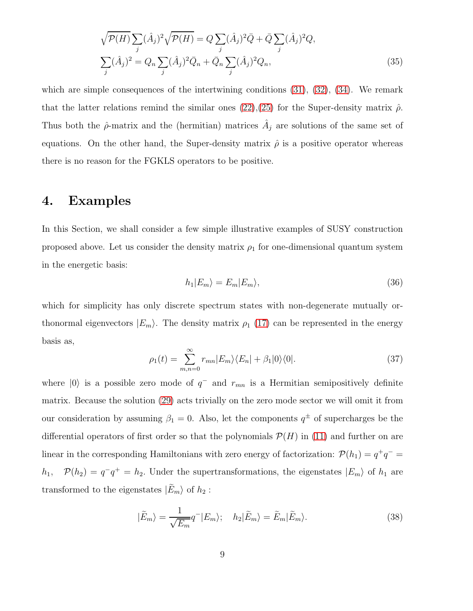$$
\sqrt{\mathcal{P}(H)}\sum_{j}(\hat{A}_{j})^{2}\sqrt{\mathcal{P}(H)} = Q\sum_{j}(\hat{A}_{j})^{2}\bar{Q} + \bar{Q}\sum_{j}(\hat{A}_{j})^{2}Q,
$$
  

$$
\sum_{j}(\hat{A}_{j})^{2} = Q_{n}\sum_{j}(\hat{A}_{j})^{2}\bar{Q}_{n} + \bar{Q}_{n}\sum_{j}(\hat{A}_{j})^{2}Q_{n},
$$
\n(35)

which are simple consequences of the intertwining conditions  $(31)$ ,  $(32)$ ,  $(34)$ . We remark that the latter relations remind the similar ones  $(22),(25)$  $(22),(25)$  for the Super-density matrix  $\hat{\rho}$ . Thus both the  $\hat{\rho}$ -matrix and the (hermitian) matrices  $\hat{A}_j$  are solutions of the same set of equations. On the other hand, the Super-density matrix  $\hat{\rho}$  is a positive operator whereas there is no reason for the FGKLS operators to be positive.

### 4. Examples

In this Section, we shall consider a few simple illustrative examples of SUSY construction proposed above. Let us consider the density matrix  $\rho_1$  for one-dimensional quantum system in the energetic basis:

$$
h_1|E_m\rangle = E_m|E_m\rangle,\tag{36}
$$

which for simplicity has only discrete spectrum states with non-degenerate mutually orthonormal eigenvectors  $|E_m\rangle$ . The density matrix  $\rho_1$  [\(17\)](#page-5-4) can be represented in the energy basis as,

$$
\rho_1(t) = \sum_{m,n=0}^{\infty} r_{mn} |E_m\rangle\langle E_n| + \beta_1 |0\rangle\langle 0|.
$$
 (37)

where  $|0\rangle$  is a possible zero mode of  $q^-$  and  $r_{mn}$  is a Hermitian semipositively definite matrix. Because the solution [\(29\)](#page-7-1) acts trivially on the zero mode sector we will omit it from our consideration by assuming  $\beta_1 = 0$ . Also, let the components  $q^{\pm}$  of supercharges be the differential operators of first order so that the polynomials  $\mathcal{P}(H)$  in [\(11\)](#page-4-2) and further on are linear in the corresponding Hamiltonians with zero energy of factorization:  $\mathcal{P}(h_1) = q^+q^$  $h_1$ ,  $\mathcal{P}(h_2) = q^-q^+ = h_2$ . Under the supertransformations, the eigenstates  $|E_m\rangle$  of  $h_1$  are transformed to the eigenstates  $|E_m\rangle$  of  $h_2$ :

<span id="page-8-0"></span>
$$
|\tilde{E}_m\rangle = \frac{1}{\sqrt{E_m}} q^- |E_m\rangle; \quad h_2 |\tilde{E}_m\rangle = \tilde{E}_m |\tilde{E}_m\rangle.
$$
 (38)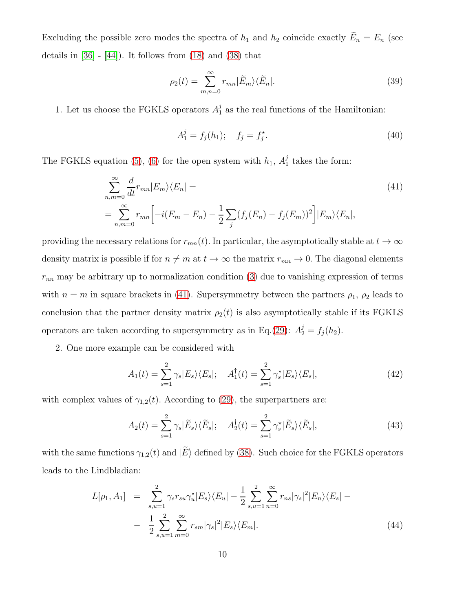Excluding the possible zero modes the spectra of  $h_1$  and  $h_2$  coincide exactly  $E_n = E_n$  (see details in  $[36]$  -  $[44]$ ). It follows from  $(18)$  and  $(38)$  that

$$
\rho_2(t) = \sum_{m,n=0}^{\infty} r_{mn} |\tilde{E}_m\rangle \langle \tilde{E}_n|.
$$
\n(39)

1. Let us choose the FGKLS operators  $A_1^j$  as the real functions of the Hamiltonian:

$$
A_1^j = f_j(h_1); \quad f_j = f_j^*.
$$
\n(40)

The FGKLS equation [\(5\)](#page-3-2), [\(6\)](#page-3-1) for the open system with  $h_1$ ,  $A_1^j$  takes the form:

<span id="page-9-0"></span>
$$
\sum_{n,m=0}^{\infty} \frac{d}{dt} r_{mn} |E_m\rangle\langle E_n| =
$$
\n
$$
= \sum_{n,m=0}^{\infty} r_{mn} \Big[ -i(E_m - E_n) - \frac{1}{2} \sum_j (f_j(E_n) - f_j(E_m))^2 \Big] |E_m\rangle\langle E_n|,
$$
\n(41)

providing the necessary relations for  $r_{mn}(t)$ . In particular, the asymptotically stable at  $t \to \infty$ density matrix is possible if for  $n \neq m$  at  $t \to \infty$  the matrix  $r_{mn} \to 0$ . The diagonal elements  $r_{nn}$  may be arbitrary up to normalization condition [\(3\)](#page-2-0) due to vanishing expression of terms with  $n = m$  in square brackets in [\(41\)](#page-9-0). Supersymmetry between the partners  $\rho_1$ ,  $\rho_2$  leads to conclusion that the partner density matrix  $\rho_2(t)$  is also asymptotically stable if its FGKLS operators are taken according to supersymmetry as in Eq.[\(29\)](#page-7-1):  $A_2^j = f_j(h_2)$ .

2. One more example can be considered with

$$
A_1(t) = \sum_{s=1}^2 \gamma_s |E_s\rangle\langle E_s|; \quad A_1^\dagger(t) = \sum_{s=1}^2 \gamma_s^\star |E_s\rangle\langle E_s|,\tag{42}
$$

with complex values of  $\gamma_{1,2}(t)$ . According to [\(29\)](#page-7-1), the superpartners are:

$$
A_2(t) = \sum_{s=1}^2 \gamma_s |\tilde{E}_s\rangle\langle\tilde{E}_s|; \quad A_2^{\dagger}(t) = \sum_{s=1}^2 \gamma_s^{\star} |\tilde{E}_s\rangle\langle\tilde{E}_s|,\tag{43}
$$

with the same functions  $\gamma_{1,2}(t)$  and  $|\tilde{E}\rangle$  defined by [\(38\)](#page-8-0). Such choice for the FGKLS operators leads to the Lindbladian:

$$
L[\rho_1, A_1] = \sum_{s, u=1}^{2} \gamma_s r_{su} \gamma_u^* |E_s\rangle \langle E_u| - \frac{1}{2} \sum_{s, u=1}^{2} \sum_{n=0}^{\infty} r_{ns} |\gamma_s|^2 |E_n\rangle \langle E_s| - \frac{1}{2} \sum_{s, u=1}^{2} \sum_{m=0}^{\infty} r_{sm} |\gamma_s|^2 |E_s\rangle \langle E_m|.
$$
\n(44)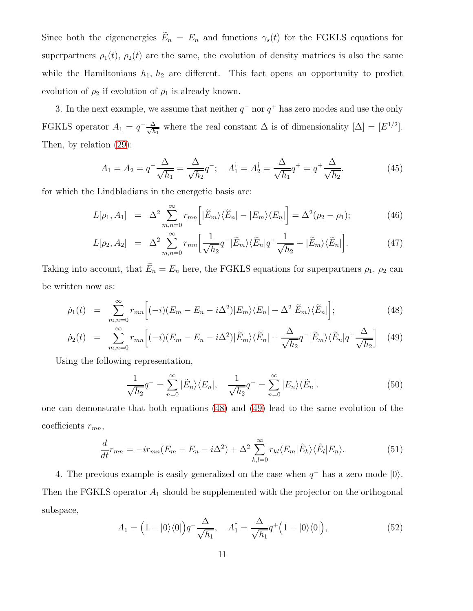Since both the eigenenergies  $E_n = E_n$  and functions  $\gamma_s(t)$  for the FGKLS equations for superpartners  $\rho_1(t)$ ,  $\rho_2(t)$  are the same, the evolution of density matrices is also the same while the Hamiltonians  $h_1$ ,  $h_2$  are different. This fact opens an opportunity to predict evolution of  $\rho_2$  if evolution of  $\rho_1$  is already known.

3. In the next example, we assume that neither  $q^-$  nor  $q^+$  has zero modes and use the only FGKLS operator  $A_1 = q^{-\frac{\Delta}{\sqrt{h}}}$  $\frac{\Delta}{h_1}$  where the real constant  $\Delta$  is of dimensionality  $[\Delta] = [E^{1/2}]$ . Then, by relation [\(29\)](#page-7-1):

$$
A_1 = A_2 = q^{-} \frac{\Delta}{\sqrt{h_1}} = \frac{\Delta}{\sqrt{h_2}} q^{-}; \quad A_1^{\dagger} = A_2^{\dagger} = \frac{\Delta}{\sqrt{h_1}} q^{+} = q^{+} \frac{\Delta}{\sqrt{h_2}}.
$$
 (45)

for which the Lindbladians in the energetic basis are:

<span id="page-10-1"></span>
$$
L[\rho_1, A_1] = \Delta^2 \sum_{m,n=0}^{\infty} r_{mn} \Big[ |\tilde{E}_m\rangle\langle\tilde{E}_n| - |E_m\rangle\langle E_n| \Big] = \Delta^2(\rho_2 - \rho_1); \tag{46}
$$

$$
L[\rho_2, A_2] = \Delta^2 \sum_{m,n=0}^{\infty} r_{mn} \left[ \frac{1}{\sqrt{h_2}} q^{-} | \tilde{E}_m \rangle \langle \tilde{E}_n | q^{+} \frac{1}{\sqrt{h_2}} - | \tilde{E}_m \rangle \langle \tilde{E}_n | \right]. \tag{47}
$$

Taking into account, that  $E_n = E_n$  here, the FGKLS equations for superpartners  $\rho_1$ ,  $\rho_2$  can be written now as:

<span id="page-10-0"></span>
$$
\dot{\rho}_1(t) = \sum_{m,n=0}^{\infty} r_{mn} \Big[ (-i) (E_m - E_n - i \Delta^2) |E_m\rangle \langle E_n| + \Delta^2 |\tilde{E}_m\rangle \langle \tilde{E}_n| \Big]; \tag{48}
$$

$$
\dot{\rho}_2(t) = \sum_{m,n=0}^{\infty} r_{mn} \Big[ (-i) (E_m - E_n - i \Delta^2) |\tilde{E}_m\rangle \langle \tilde{E}_n| + \frac{\Delta}{\sqrt{h_2}} q^- |\tilde{E}_m\rangle \langle \tilde{E}_n| q^+ \frac{\Delta}{\sqrt{h_2}} \Big] \tag{49}
$$

Using the following representation,

$$
\frac{1}{\sqrt{h_2}}q^- = \sum_{n=0}^{\infty} |\tilde{E}_n\rangle\langle E_n|, \quad \frac{1}{\sqrt{h_2}}q^+ = \sum_{n=0}^{\infty} |E_n\rangle\langle \tilde{E}_n|.
$$
 (50)

one can demonstrate that both equations [\(48\)](#page-10-0) and [\(49\)](#page-10-0) lead to the same evolution of the coefficients  $r_{mn}$ ,

<span id="page-10-2"></span>
$$
\frac{d}{dt}r_{mn} = -ir_{mn}(E_m - E_n - i\Delta^2) + \Delta^2 \sum_{k,l=0}^{\infty} r_{kl} \langle E_m | \tilde{E}_k \rangle \langle \tilde{E}_l | E_n \rangle.
$$
 (51)

4. The previous example is easily generalized on the case when  $q^-$  has a zero mode  $|0\rangle$ . Then the FGKLS operator  $A_1$  should be supplemented with the projector on the orthogonal subspace,

$$
A_1 = \left(1 - |0\rangle\langle 0|\right) q^{-} \frac{\Delta}{\sqrt{h_1}}, \quad A_1^{\dagger} = \frac{\Delta}{\sqrt{h_1}} q^{+} \left(1 - |0\rangle\langle 0|\right),\tag{52}
$$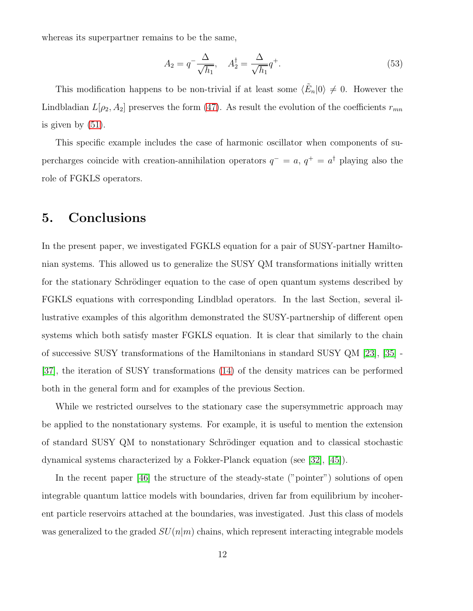whereas its superpartner remains to be the same,

$$
A_2 = q^{-} \frac{\Delta}{\sqrt{h_1}}, \quad A_2^{\dagger} = \frac{\Delta}{\sqrt{h_1}} q^{+}.
$$
\n
$$
(53)
$$

This modification happens to be non-trivial if at least some  $\langle \tilde{E}_n | 0 \rangle \neq 0$ . However the Lindbladian  $L[\rho_2, A_2]$  preserves the form [\(47\)](#page-10-1). As result the evolution of the coefficients  $r_{mn}$ is given by [\(51\)](#page-10-2).

This specific example includes the case of harmonic oscillator when components of supercharges coincide with creation-annihilation operators  $q^- = a$ ,  $q^+ = a^{\dagger}$  playing also the role of FGKLS operators.

## 5. Conclusions

In the present paper, we investigated FGKLS equation for a pair of SUSY-partner Hamiltonian systems. This allowed us to generalize the SUSY QM transformations initially written for the stationary Schrödinger equation to the case of open quantum systems described by FGKLS equations with corresponding Lindblad operators. In the last Section, several illustrative examples of this algorithm demonstrated the SUSY-partnership of different open systems which both satisfy master FGKLS equation. It is clear that similarly to the chain of successive SUSY transformations of the Hamiltonians in standard SUSY QM [\[23\]](#page-13-11), [\[35\]](#page-14-1) - [\[37\]](#page-14-2), the iteration of SUSY transformations [\(14\)](#page-5-1) of the density matrices can be performed both in the general form and for examples of the previous Section.

While we restricted ourselves to the stationary case the supersymmetric approach may be applied to the nonstationary systems. For example, it is useful to mention the extension of standard SUSY QM to nonstationary Schrödinger equation and to classical stochastic dynamical systems characterized by a Fokker-Planck equation (see [\[32\]](#page-14-9), [\[45\]](#page-15-1)).

In the recent paper [\[46\]](#page-15-2) the structure of the steady-state ("pointer") solutions of open integrable quantum lattice models with boundaries, driven far from equilibrium by incoherent particle reservoirs attached at the boundaries, was investigated. Just this class of models was generalized to the graded  $SU(n|m)$  chains, which represent interacting integrable models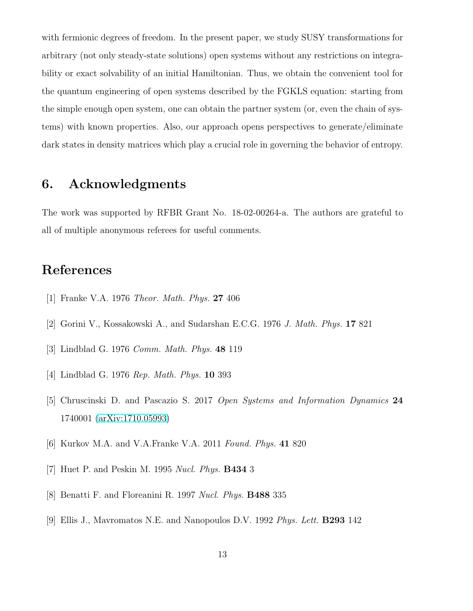with fermionic degrees of freedom. In the present paper, we study SUSY transformations for arbitrary (not only steady-state solutions) open systems without any restrictions on integrability or exact solvability of an initial Hamiltonian. Thus, we obtain the convenient tool for the quantum engineering of open systems described by the FGKLS equation: starting from the simple enough open system, one can obtain the partner system (or, even the chain of systems) with known properties. Also, our approach opens perspectives to generate/eliminate dark states in density matrices which play a crucial role in governing the behavior of entropy.

## 6. Acknowledgments

The work was supported by RFBR Grant No. 18-02-00264-a. The authors are grateful to all of multiple anonymous referees for useful comments.

## <span id="page-12-0"></span>References

- <span id="page-12-3"></span>[1] Franke V.A. 1976 Theor. Math. Phys. 27 406
- <span id="page-12-4"></span>[2] Gorini V., Kossakowski A., and Sudarshan E.C.G. 1976 J. Math. Phys. 17 821
- <span id="page-12-1"></span>[3] Lindblad G. 1976 Comm. Math. Phys. 48 119
- <span id="page-12-2"></span>[4] Lindblad G. 1976 Rep. Math. Phys. 10 393
- <span id="page-12-6"></span>[5] Chruscinski D. and Pascazio S. 2017 Open Systems and Information Dynamics 24 1740001 [\(arXiv:1710.05993\)](http://arxiv.org/abs/1710.05993)
- <span id="page-12-5"></span>[6] Kurkov M.A. and V.A.Franke V.A. 2011 Found. Phys. 41 820
- [7] Huet P. and Peskin M. 1995 Nucl. Phys. B434 3
- [8] Benatti F. and Floreanini R. 1997 Nucl. Phys. B488 335
- [9] Ellis J., Mavromatos N.E. and Nanopoulos D.V. 1992 Phys. Lett. B293 142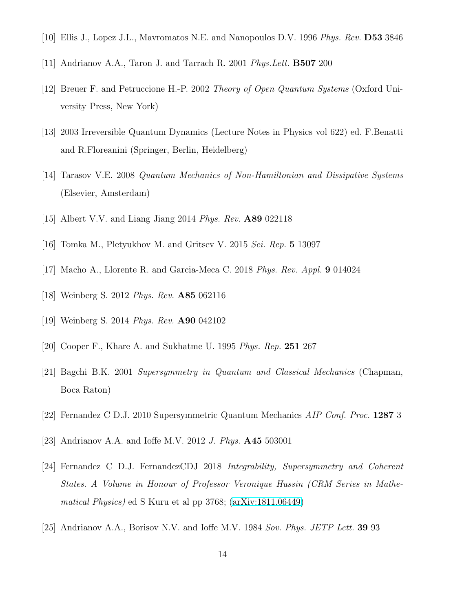- <span id="page-13-5"></span><span id="page-13-4"></span>[10] Ellis J., Lopez J.L., Mavromatos N.E. and Nanopoulos D.V. 1996 Phys. Rev. D53 3846
- <span id="page-13-0"></span>[11] Andrianov A.A., Taron J. and Tarrach R. 2001 Phys.Lett. B507 200
- [12] Breuer F. and Petruccione H.-P. 2002 Theory of Open Quantum Systems (Oxford University Press, New York)
- <span id="page-13-1"></span>[13] 2003 Irreversible Quantum Dynamics (Lecture Notes in Physics vol 622) ed. F.Benatti and R.Floreanini (Springer, Berlin, Heidelberg)
- <span id="page-13-2"></span>[14] Tarasov V.E. 2008 Quantum Mechanics of Non-Hamiltonian and Dissipative Systems (Elsevier, Amsterdam)
- [15] Albert V.V. and Liang Jiang 2014 *Phys. Rev.* **A89** 022118
- <span id="page-13-3"></span>[16] Tomka M., Pletyukhov M. and Gritsev V. 2015 Sci. Rep. 5 13097
- <span id="page-13-6"></span>[17] Macho A., Llorente R. and Garcia-Meca C. 2018 *Phys. Rev. Appl.* 9 014024
- <span id="page-13-7"></span>[18] Weinberg S. 2012 Phys. Rev. A85 062116
- <span id="page-13-8"></span>[19] Weinberg S. 2014 Phys. Rev. A90 042102
- [20] Cooper F., Khare A. and Sukhatme U. 1995 *Phys. Rep.* 251 267
- [21] Bagchi B.K. 2001 Supersymmetry in Quantum and Classical Mechanics (Chapman, Boca Raton)
- <span id="page-13-11"></span>[22] Fernandez C D.J. 2010 Supersymmetric Quantum Mechanics AIP Conf. Proc. 1287 3
- <span id="page-13-9"></span>[23] Andrianov A.A. and Ioffe M.V. 2012 *J. Phys.* **A45** 503001
- [24] Fernandez C D.J. FernandezCDJ 2018 Integrability, Supersymmetry and Coherent States. A Volume in Honour of Professor Veronique Hussin (CRM Series in Mathematical Physics) ed S Kuru et al pp 3768; [\(arXiv:1811.06449\)](http://arxiv.org/abs/1811.06449)
- <span id="page-13-10"></span>[25] Andrianov A.A., Borisov N.V. and Ioffe M.V. 1984 Sov. Phys. JETP Lett. 39 93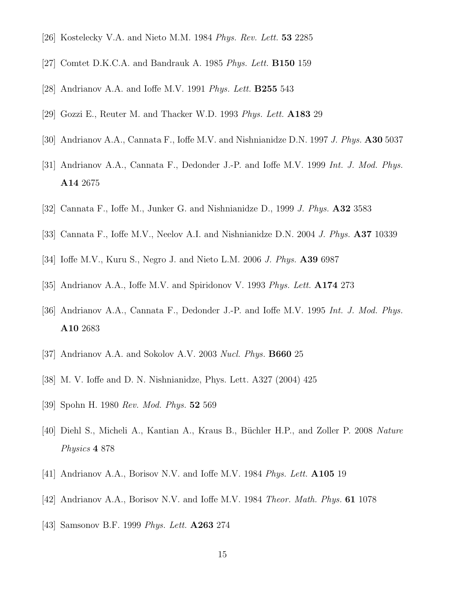- [26] Kostelecky V.A. and Nieto M.M. 1984 Phys. Rev. Lett. 53 2285
- [27] Comtet D.K.C.A. and Bandrauk A. 1985 Phys. Lett. **B150** 159
- [28] Andrianov A.A. and Ioffe M.V. 1991 *Phys. Lett.* **B255** 543
- [29] Gozzi E., Reuter M. and Thacker W.D. 1993 Phys. Lett. A183 29
- [30] Andrianov A.A., Cannata F., Ioffe M.V. and Nishnianidze D.N. 1997 J. Phys. A30 5037
- <span id="page-14-9"></span>[31] Andrianov A.A., Cannata F., Dedonder J.-P. and Ioffe M.V. 1999 Int. J. Mod. Phys. A14 2675
- [32] Cannata F., Ioffe M., Junker G. and Nishnianidze D., 1999 J. Phys.  $\mathbf{A32}$  3583
- <span id="page-14-0"></span>[33] Cannata F., Ioffe M.V., Neelov A.I. and Nishnianidze D.N. 2004 J. Phys. A37 10339
- <span id="page-14-1"></span>[34] Ioffe M.V., Kuru S., Negro J. and Nieto L.M. 2006 J. Phys. A39 6987
- <span id="page-14-8"></span>[35] Andrianov A.A., Ioffe M.V. and Spiridonov V. 1993 Phys. Lett. **A174** 273
- <span id="page-14-2"></span>[36] Andrianov A.A., Cannata F., Dedonder J.-P. and Ioffe M.V. 1995 Int. J. Mod. Phys. A10 2683
- <span id="page-14-3"></span>[37] Andrianov A.A. and Sokolov A.V. 2003 Nucl. Phys. **B660** 25
- <span id="page-14-4"></span>[38] M. V. Ioffe and D. N. Nishnianidze, Phys. Lett. A327 (2004) 425
- <span id="page-14-5"></span>[39] Spohn H. 1980 Rev. Mod. Phys. 52 569
- <span id="page-14-6"></span>[40] Diehl S., Micheli A., Kantian A., Kraus B., Büchler H.P., and Zoller P. 2008 Nature Physics 4 878
- <span id="page-14-7"></span>[41] Andrianov A.A., Borisov N.V. and Ioffe M.V. 1984 Phys. Lett. A105 19
- [42] Andrianov A.A., Borisov N.V. and Ioffe M.V. 1984 Theor. Math. Phys. 61 1078
- [43] Samsonov B.F. 1999 *Phys. Lett.* **A263** 274